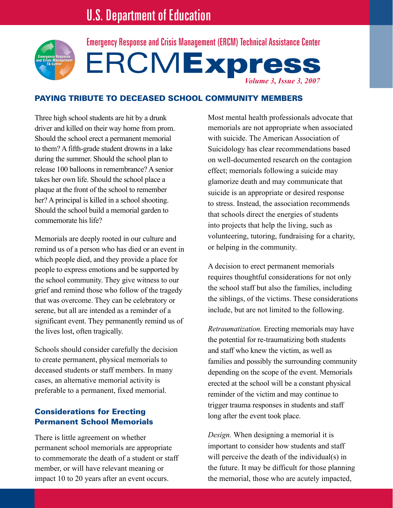

**ERCMExpress** *Volume 3, Issue 3, 2007* Emergency Response and Crisis Management (ERCM) Technical Assistance Center

### Paying Tribute to Deceased School Community Members

Three high school students are hit by a drunk driver and killed on their way home from prom. Should the school erect a permanent memorial to them? A fifth-grade student drowns in a lake during the summer. Should the school plan to release 100 balloons in remembrance? A senior takes her own life. Should the school place a plaque at the front of the school to remember her? A principal is killed in a school shooting. Should the school build a memorial garden to commemorate his life?

Memorials are deeply rooted in our culture and remind us of a person who has died or an event in which people died, and they provide a place for people to express emotions and be supported by the school community. They give witness to our grief and remind those who follow of the tragedy that was overcome. They can be celebratory or serene, but all are intended as a reminder of a significant event. They permanently remind us of the lives lost, often tragically.

Schools should consider carefully the decision to create permanent, physical memorials to deceased students or staff members. In many cases, an alternative memorial activity is preferable to a permanent, fixed memorial.

## Considerations for Erecting Permanent School Memorials

There is little agreement on whether permanent school memorials are appropriate to commemorate the death of a student or staff member, or will have relevant meaning or impact 10 to 20 years after an event occurs.

Most mental health professionals advocate that memorials are not appropriate when associated with suicide. The American Association of Suicidology has clear recommendations based on well-documented research on the contagion effect; memorials following a suicide may glamorize death and may communicate that suicide is an appropriate or desired response to stress. Instead, the association recommends that schools direct the energies of students into projects that help the living, such as volunteering, tutoring, fundraising for a charity, or helping in the community.

A decision to erect permanent memorials requires thoughtful considerations for not only the school staff but also the families, including the siblings, of the victims. These considerations include, but are not limited to the following.

*Retraumatization.* Erecting memorials may have the potential for re-traumatizing both students and staff who knew the victim, as well as families and possibly the surrounding community depending on the scope of the event. Memorials erected at the school will be a constant physical reminder of the victim and may continue to trigger trauma responses in students and staff long after the event took place.

*Design.* When designing a memorial it is important to consider how students and staff will perceive the death of the individual(s) in the future. It may be difficult for those planning the memorial, those who are acutely impacted,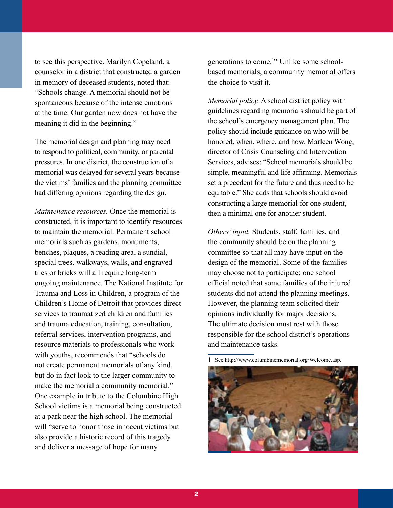to see this perspective. Marilyn Copeland, a counselor in a district that constructed a garden in memory of deceased students, noted that: "Schools change. A memorial should not be spontaneous because of the intense emotions at the time. Our garden now does not have the meaning it did in the beginning."

The memorial design and planning may need to respond to political, community, or parental pressures. In one district, the construction of a memorial was delayed for several years because the victims' families and the planning committee had differing opinions regarding the design.

*Maintenance resources.* Once the memorial is constructed, it is important to identify resources to maintain the memorial. Permanent school memorials such as gardens, monuments, benches, plaques, a reading area, a sundial, special trees, walkways, walls, and engraved tiles or bricks will all require long-term ongoing maintenance. The National Institute for Trauma and Loss in Children, a program of the Children's Home of Detroit that provides direct services to traumatized children and families and trauma education, training, consultation, referral services, intervention programs, and resource materials to professionals who work with youths, recommends that "schools do not create permanent memorials of any kind, but do in fact look to the larger community to make the memorial a community memorial." One example in tribute to the Columbine High School victims is a memorial being constructed at a park near the high school. The memorial will "serve to honor those innocent victims but also provide a historic record of this tragedy and deliver a message of hope for many

generations to come.<sup>1</sup>" Unlike some schoolbased memorials, a community memorial offers the choice to visit it.

*Memorial policy.* A school district policy with guidelines regarding memorials should be part of the school's emergency management plan. The policy should include guidance on who will be honored, when, where, and how. Marleen Wong, director of Crisis Counseling and Intervention Services, advises: "School memorials should be simple, meaningful and life affirming. Memorials set a precedent for the future and thus need to be equitable." She adds that schools should avoid constructing a large memorial for one student, then a minimal one for another student.

*Others' input.* Students, staff, families, and the community should be on the planning committee so that all may have input on the design of the memorial. Some of the families may choose not to participate; one school official noted that some families of the injured students did not attend the planning meetings. However, the planning team solicited their opinions individually for major decisions. The ultimate decision must rest with those responsible for the school district's operations and maintenance tasks.

<sup>1</sup> See http://www.columbinememorial.org/Welcome.asp.

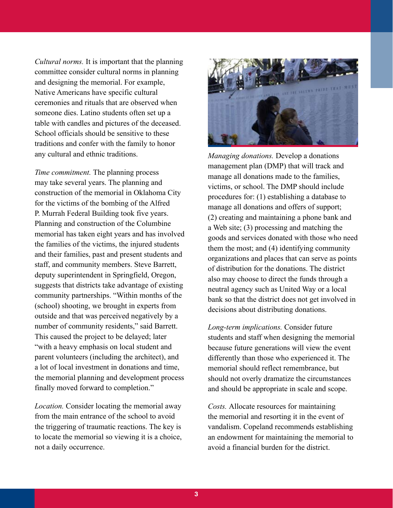*Cultural norms.* It is important that the planning committee consider cultural norms in planning and designing the memorial. For example, Native Americans have specific cultural ceremonies and rituals that are observed when someone dies. Latino students often set up a table with candles and pictures of the deceased. School officials should be sensitive to these traditions and confer with the family to honor any cultural and ethnic traditions.

*Time commitment.* The planning process may take several years. The planning and construction of the memorial in Oklahoma City for the victims of the bombing of the Alfred P. Murrah Federal Building took five years. Planning and construction of the Columbine memorial has taken eight years and has involved the families of the victims, the injured students and their families, past and present students and staff, and community members. Steve Barrett, deputy superintendent in Springfield, Oregon, suggests that districts take advantage of existing community partnerships. "Within months of the (school) shooting, we brought in experts from outside and that was perceived negatively by a number of community residents," said Barrett. This caused the project to be delayed; later "with a heavy emphasis on local student and parent volunteers (including the architect), and a lot of local investment in donations and time, the memorial planning and development process finally moved forward to completion."

*Location.* Consider locating the memorial away from the main entrance of the school to avoid the triggering of traumatic reactions. The key is to locate the memorial so viewing it is a choice, not a daily occurrence.



*Managing donations.* Develop a donations management plan (DMP) that will track and manage all donations made to the families, victims, or school. The DMP should include procedures for: (1) establishing a database to manage all donations and offers of support; (2) creating and maintaining a phone bank and a Web site; (3) processing and matching the goods and services donated with those who need them the most; and (4) identifying community organizations and places that can serve as points of distribution for the donations. The district also may choose to direct the funds through a neutral agency such as United Way or a local bank so that the district does not get involved in decisions about distributing donations.

*Long-term implications.* Consider future students and staff when designing the memorial because future generations will view the event differently than those who experienced it. The memorial should reflect remembrance, but should not overly dramatize the circumstances and should be appropriate in scale and scope.

*Costs.* Allocate resources for maintaining the memorial and resorting it in the event of vandalism. Copeland recommends establishing an endowment for maintaining the memorial to avoid a financial burden for the district.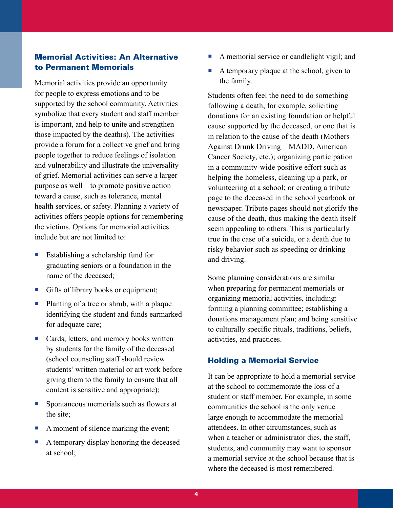# Memorial Activities: An Alternative to Permanent Memorials

Memorial activities provide an opportunity for people to express emotions and to be supported by the school community. Activities symbolize that every student and staff member is important, and help to unite and strengthen those impacted by the death(s). The activities provide a forum for a collective grief and bring people together to reduce feelings of isolation and vulnerability and illustrate the universality of grief. Memorial activities can serve a larger purpose as well—to promote positive action toward a cause, such as tolerance, mental health services, or safety. Planning a variety of activities offers people options for remembering the victims. Options for memorial activities include but are not limited to:

- Establishing a scholarship fund for graduating seniors or a foundation in the name of the deceased;
- Gifts of library books or equipment;
- Planting of a tree or shrub, with a plaque identifying the student and funds earmarked for adequate care;
- Cards, letters, and memory books written by students for the family of the deceased (school counseling staff should review students' written material or art work before giving them to the family to ensure that all content is sensitive and appropriate);
- **Spontaneous memorials such as flowers at** the site;
- A moment of silence marking the event;
- A temporary display honoring the deceased at school;
- A memorial service or candlelight vigil; and
- A temporary plaque at the school, given to the family.

Students often feel the need to do something following a death, for example, soliciting donations for an existing foundation or helpful cause supported by the deceased, or one that is in relation to the cause of the death (Mothers Against Drunk Driving—MADD, American Cancer Society, etc.); organizing participation in a community-wide positive effort such as helping the homeless, cleaning up a park, or volunteering at a school; or creating a tribute page to the deceased in the school yearbook or newspaper. Tribute pages should not glorify the cause of the death, thus making the death itself seem appealing to others. This is particularly true in the case of a suicide, or a death due to risky behavior such as speeding or drinking and driving.

Some planning considerations are similar when preparing for permanent memorials or organizing memorial activities, including: forming a planning committee; establishing a donations management plan; and being sensitive to culturally specific rituals, traditions, beliefs, activities, and practices.

#### Holding a Memorial Service

It can be appropriate to hold a memorial service at the school to commemorate the loss of a student or staff member. For example, in some communities the school is the only venue large enough to accommodate the memorial attendees. In other circumstances, such as when a teacher or administrator dies, the staff, students, and community may want to sponsor a memorial service at the school because that is where the deceased is most remembered.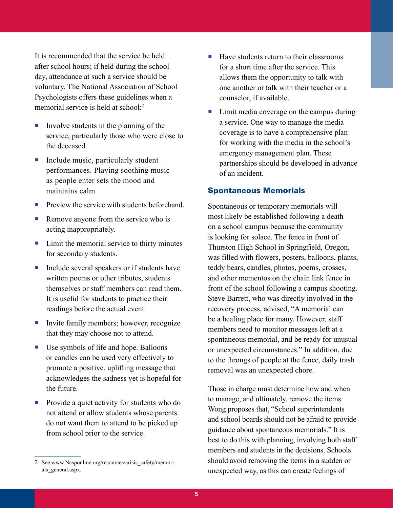It is recommended that the service be held after school hours; if held during the school day, attendance at such a service should be voluntary. The National Association of School Psychologists offers these guidelines when a memorial service is held at school<sup>-2</sup>

- Involve students in the planning of the service, particularly those who were close to the deceased.
- $\blacksquare$  Include music, particularly student performances. Playing soothing music as people enter sets the mood and maintains calm.
- **Preview the service with students beforehand**
- Remove anyone from the service who is acting inappropriately.
- Limit the memorial service to thirty minutes for secondary students.
- Include several speakers or if students have written poems or other tributes, students themselves or staff members can read them. It is useful for students to practice their readings before the actual event.
- Invite family members; however, recognize that they may choose not to attend.
- Use symbols of life and hope. Balloons or candles can be used very effectively to promote a positive, uplifting message that acknowledges the sadness yet is hopeful for the future.
- **Provide a quiet activity for students who do** not attend or allow students whose parents do not want them to attend to be picked up from school prior to the service.
- $\blacksquare$  Have students return to their classrooms for a short time after the service. This allows them the opportunity to talk with one another or talk with their teacher or a counselor, if available.
- Limit media coverage on the campus during a service. One way to manage the media coverage is to have a comprehensive plan for working with the media in the school's emergency management plan. These partnerships should be developed in advance of an incident.

### Spontaneous Memorials

Spontaneous or temporary memorials will most likely be established following a death on a school campus because the community is looking for solace. The fence in front of Thurston High School in Springfield, Oregon, was filled with flowers, posters, balloons, plants, teddy bears, candles, photos, poems, crosses, and other mementos on the chain link fence in front of the school following a campus shooting. Steve Barrett, who was directly involved in the recovery process, advised, "A memorial can be a healing place for many. However, staff members need to monitor messages left at a spontaneous memorial, and be ready for unusual or unexpected circumstances." In addition, due to the throngs of people at the fence, daily trash removal was an unexpected chore.

Those in charge must determine how and when to manage, and ultimately, remove the items. Wong proposes that, "School superintendents and school boards should not be afraid to provide guidance about spontaneous memorials." It is best to do this with planning, involving both staff members and students in the decisions. Schools should avoid removing the items in a sudden or unexpected way, as this can create feelings of

<sup>2</sup> See www.Nasponline.org/resources/crisis\_safety/memorials general.aspx.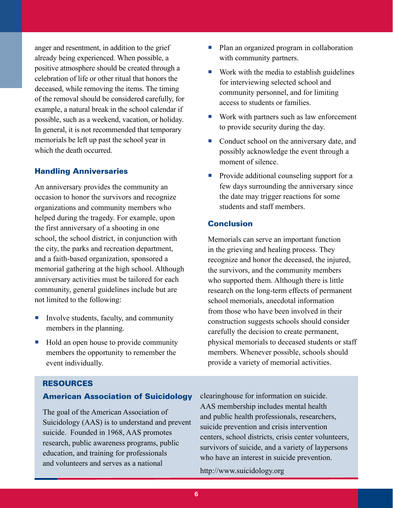anger and resentment, in addition to the grief already being experienced. When possible, a positive atmosphere should be created through a celebration of life or other ritual that honors the deceased, while removing the items. The timing of the removal should be considered carefully, for example, a natural break in the school calendar if possible, such as a weekend, vacation, or holiday. In general, it is not recommended that temporary memorials be left up past the school year in which the death occurred.

#### Handling Anniversaries

An anniversary provides the community an occasion to honor the survivors and recognize organizations and community members who helped during the tragedy. For example, upon the first anniversary of a shooting in one school, the school district, in conjunction with the city, the parks and recreation department, and a faith-based organization, sponsored a memorial gathering at the high school. Although anniversary activities must be tailored for each community, general guidelines include but are not limited to the following:

- Involve students, faculty, and community members in the planning.
- Hold an open house to provide community members the opportunity to remember the event individually.
- Plan an organized program in collaboration with community partners.
- Work with the media to establish guidelines for interviewing selected school and community personnel, and for limiting access to students or families.
- $\blacksquare$  Work with partners such as law enforcement to provide security during the day.
- Conduct school on the anniversary date, and possibly acknowledge the event through a moment of silence.
- **Provide additional counseling support for a** few days surrounding the anniversary since the date may trigger reactions for some students and staff members.

### Conclusion

Memorials can serve an important function in the grieving and healing process. They recognize and honor the deceased, the injured, the survivors, and the community members who supported them. Although there is little research on the long-term effects of permanent school memorials, anecdotal information from those who have been involved in their construction suggests schools should consider carefully the decision to create permanent, physical memorials to deceased students or staff members. Whenever possible, schools should provide a variety of memorial activities.

#### Resources

#### American Association of Suicidology

The goal of the American Association of Suicidology (AAS) is to understand and prevent suicide. Founded in 1968, AAS promotes research, public awareness programs, public education, and training for professionals and volunteers and serves as a national

clearinghouse for information on suicide. AAS membership includes mental health and public health professionals, researchers, suicide prevention and crisis intervention centers, school districts, crisis center volunteers, survivors of suicide, and a variety of laypersons who have an interest in suicide prevention.

http://www.suicidology.org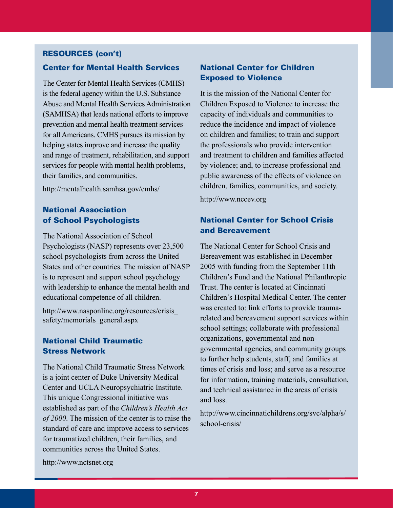### Resources (con't)

### Center for Mental Health Services

The Center for Mental Health Services (CMHS) is the federal agency within the U.S. Substance Abuse and Mental Health Services Administration (SAMHSA) that leads national efforts to improve prevention and mental health treatment services for all Americans. CMHS pursues its mission by helping states improve and increase the quality and range of treatment, rehabilitation, and support services for people with mental health problems, their families, and communities.

http://mentalhealth.samhsa.gov/cmhs/

# National Association of School Psychologists

The National Association of School Psychologists (NASP) represents over 23,500 school psychologists from across the United States and other countries. The mission of NASP is to represent and support school psychology with leadership to enhance the mental health and educational competence of all children.

http://www.nasponline.org/resources/crisis\_ safety/memorials\_general.aspx

# National Child Traumatic Stress Network

The National Child Traumatic Stress Network is a joint center of Duke University Medical Center and UCLA Neuropsychiatric Institute. This unique Congressional initiative was established as part of the *Children's Health Act of 2000*. The mission of the center is to raise the standard of care and improve access to services for traumatized children, their families, and communities across the United States.

### National Center for Children Exposed to Violence

It is the mission of the National Center for Children Exposed to Violence to increase the capacity of individuals and communities to reduce the incidence and impact of violence on children and families; to train and support the professionals who provide intervention and treatment to children and families affected by violence; and, to increase professional and public awareness of the effects of violence on children, families, communities, and society.

http://www.nccev.org

# National Center for School Crisis and Bereavement

The National Center for School Crisis and Bereavement was established in December 2005 with funding from the September 11th Children's Fund and the National Philanthropic Trust. The center is located at Cincinnati Children's Hospital Medical Center. The center was created to: link efforts to provide traumarelated and bereavement support services within school settings; collaborate with professional organizations, governmental and nongovernmental agencies, and community groups to further help students, staff, and families at times of crisis and loss; and serve as a resource for information, training materials, consultation, and technical assistance in the areas of crisis and loss.

http://www.cincinnatichildrens.org/svc/alpha/s/ school-crisis/

http://www.nctsnet.org